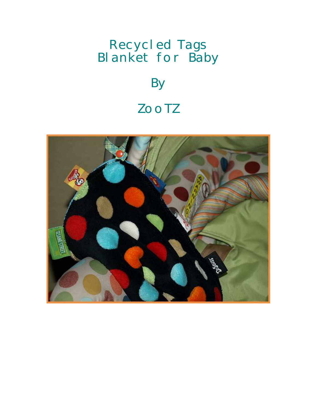## Recycled Tags Blanket for Baby

## **By** ZooTZ

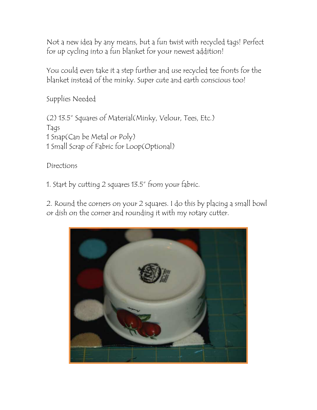Not a new idea by any means, but a fun twist with recycled tags! Perfect for up cycling into a fun blanket for your newest addition!

You could even take it a step further and use recycled tee fronts for the blanket instead of the minky. Super cute and earth conscious too!

Supplies Needed

(2) 13.5" Squares of Material(Minky, Velour, Tees, Etc.) Tags 1 Snap(Can be Metal or Poly) 1 Small Scrap of Fabric for Loop(Optional)

Directions

1. Start by cutting 2 squares 13.5" from your fabric.

2. Round the corners on your 2 squares. I do this by placing a small bowl or dish on the corner and rounding it with my rotary cutter.

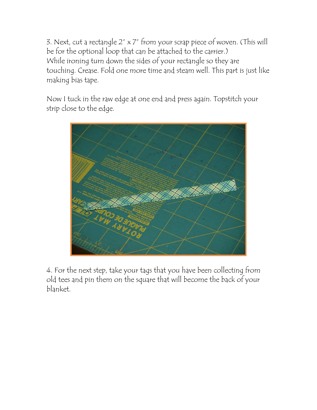3. Next, cut a rectangle 2" x 7" from your scrap piece of woven. (This will be for the optional loop that can be attached to the carrier.) While ironing turn down the sides of your rectangle so they are touching. Crease. Fold one more time and steam well. This part is just like making bias tape.

Now I tuck in the raw edge at one end and press again. Topstitch your strip close to the edge.



4. For the next step, take your tags that you have been collecting from old tees and pin them on the square that will become the back of your blanket.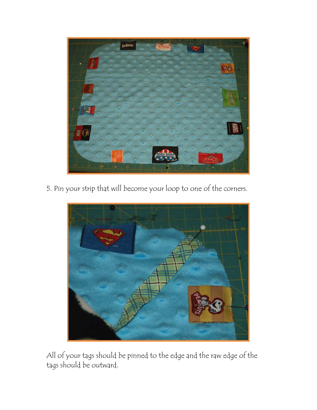

5. Pin your strip that will become your loop to one of the corners.



All of your tags should be pinned to the edge and the raw edge of the tags should be outward.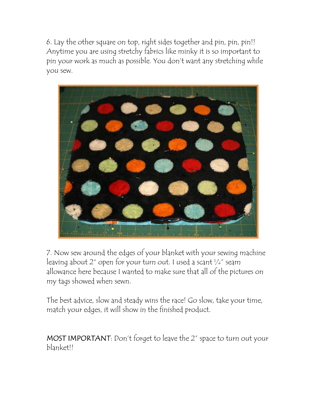6. Lay the other square on top, right sides together and pin, pin, pin!! Anytime you are using stretchy fabrics like minky it is so important to pin your work as much as possible. You don't want any stretching while you sew.



7. Now sew around the edges of your blanket with your sewing machine leaving about 2" open for your turn out. I used a scant ¼" seam allowance here because I wanted to make sure that all of the pictures on my tags showed when sewn.

The best advice, slow and steady wins the race! Go slow, take your time, match your edges, it will show in the finished product.

MOST IMPORTANT: Don't forget to leave the 2" space to turn out your blanket!!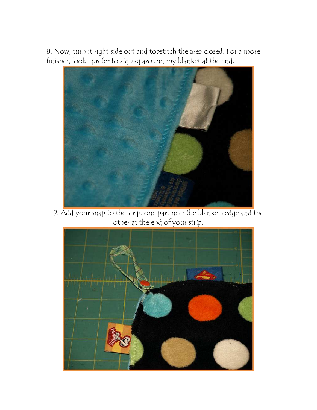8. Now, turn it right side out and topstitch the area closed. For a more finished look I prefer to zig zag around my blanket at the end.



9. Add your snap to the strip, one part near the blankets edge and the other at the end of your strip.